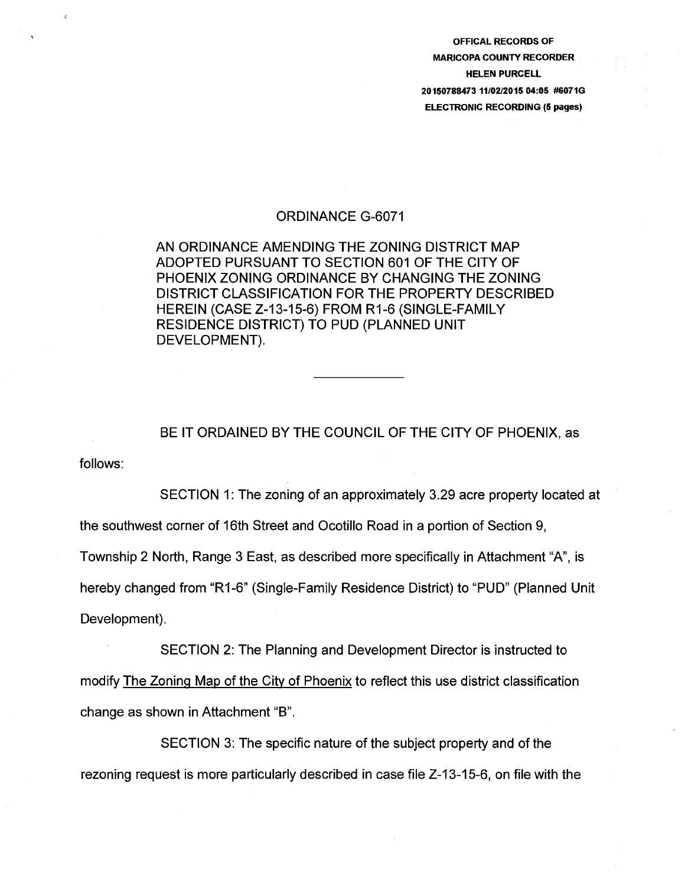OFFICAL RECORDS OF MARICOPA COUNTY RECORDER HELEN PURCELL 20150788473 11/02/2015 04:05 #6071G ELECTRONIC RECORDING (5 pages)

## ORDINANCE G-6071

## AN ORDINANCE AMENDING THE ZONING DISTRICT MAP ADOPTED PURSUANT TO SECTION 601 OF THE CITY OF PHOENIX ZONING ORDINANCE BY CHANGING THE ZONING DISTRICT CLASSIFICATION FOR THE PROPERTY DESCRIBED HEREIN (CASE Z-13-15-6) FROM R1-6 (SINGLE-FAMILY RESIDENCE DISTRICT) TO PUD (PLANNED UNIT DEVELOPMENT).

follows: BE IT ORDAINED BY THE COUNCIL OF THE CITY OF PHOENIX, as

SECTION 1: The zoning of an approximately 3.29 acre property located at the southwest corner of 16th Street and Ocotillo Road in a portion of Section 9, Township 2 North, Range 3 East, as described more specifically in Attachment "A", is hereby changed from "R1-6" (Single-Family Residence District) to "PUD" (Planned Unit Development).

SECTION 2: The Planning and Development Director is instructed to modify The Zoning Map of the City of Phoenix to reflect this use district classification change as shown in Attachment "B".

SECTION 3: The specific nature of the subject property and of the rezoning request is more particularly described in case file Z-13-15-6, on file with the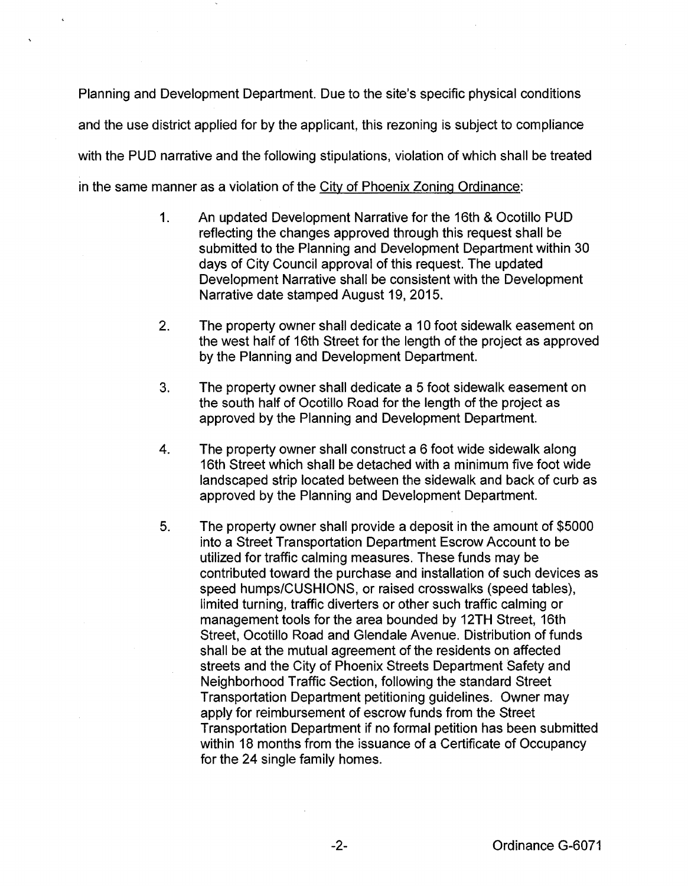Planning and Development Department. Due to the site's specific physical conditions and the use district applied for by the applicant, this rezoning is subject to compliance with the PUD narrative and the following stipulations, violation of which shall be treated in the same manner as a violation of the City of Phoenix Zoning Ordinance:

- 1. An updated Development Narrative for the 16th & Ocotillo PUD reflecting the changes approved through this request shall be submitted to the Planning and Development Department within 30 days of City Council approval of this request. The updated Development Narrative shall be consistent with the Development Narrative date stamped August 19, 2015.
- 2. The property owner shall dedicate a 10 foot sidewalk easement on the west half of 16th Street for the length of the project as approved by the Planning and Development Department.
- 3. The property owner shall dedicate a 5 foot sidewalk easement on the south half of Ocotillo Road for the length of the project as approved by the Planning and Development Department.
- 4. The property owner shall construct a 6 foot wide sidewalk along 16th Street which shall be detached with a minimum five foot wide landscaped strip located between the sidewalk and back of curb as approved by the Planning and Development Department.
- 5. The property owner shall provide a deposit in the amount of \$5000 into a Street Transportation Department Escrow Account to be utilized for traffic calming measures. These funds may be contributed toward the purchase and installation of such devices as speed humps/CUSHIONS, or raised crosswalks (speed tables), limited turning, traffic diverters or other such traffic calming or management tools for the area bounded by 12TH Street, 16th Street, Ocotillo Road and Glendale Avenue. Distribution of funds shall be at the mutual agreement of the residents on affected streets and the City of Phoenix Streets Department Safety and Neighborhood Traffic Section, following the standard Street Transportation Department petitioning guidelines. Owner may apply for reimbursement of escrow funds from the Street Transportation Department if no formal petition has been submitted within 18 months from the issuance of a Certificate of Occupancy for the 24 single family homes.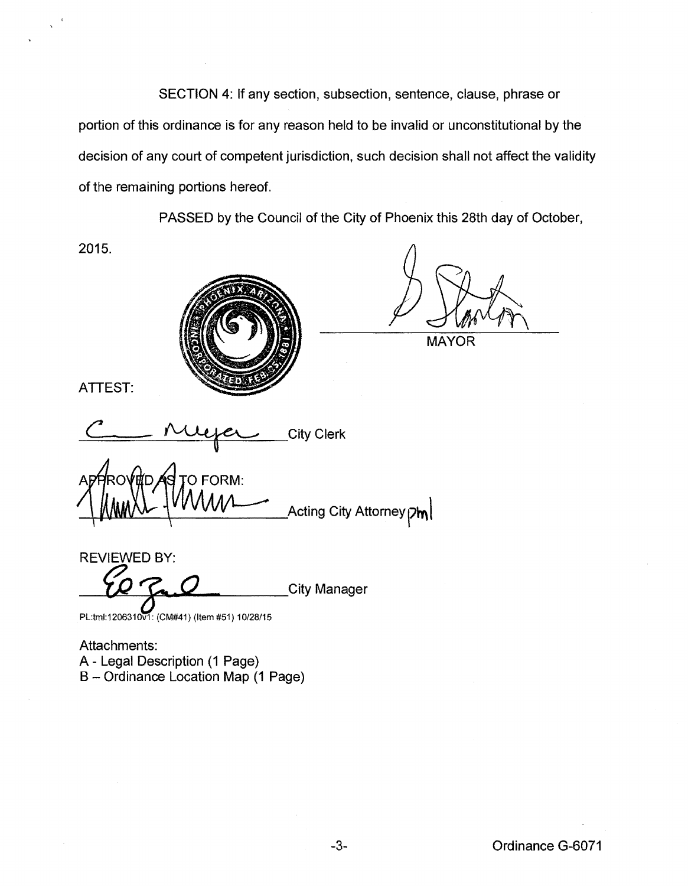SECTION 4: If any section, subsection, sentence, clause, phrase or portion of this ordinance is for any reason held to be invalid or unconstitutional by the decision of any court of competent jurisdiction, such decision shall not affect the validity of the remaining portions hereof.

PASSED by the Council of the City of Phoenix this 28th day of October,

2015.



**MAYOR** 

ATTEST:

City Clerk

APPROVED PORM:<br>( WWW Acting City Attorney pm)

REVIEWED BY: City Manager

PL:tml:1206310v1: (CM#41) (Item #51) 10/28/15

Attachments: A- Legal Description (1 Page) B- Ordinance Location Map (1 Page)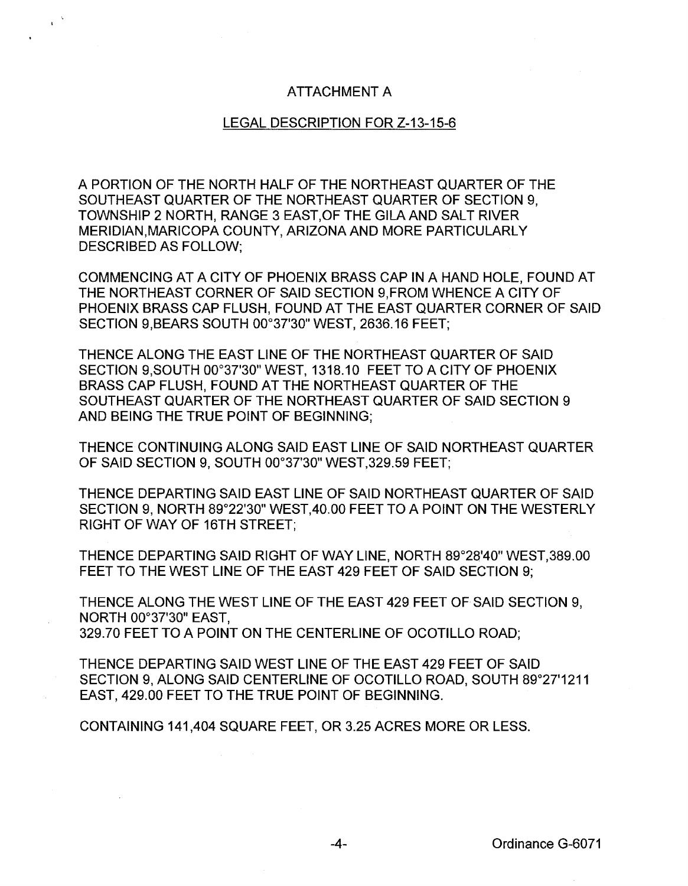## ATTACHMENT A

 $\chi^{(0)}$ 

## LEGAL DESCRIPTION FOR Z-13-15-6

A PORTION OF THE NORTH HALF OF THE NORTHEAST QUARTER OF THE SOUTHEAST QUARTER OF THE NORTHEAST QUARTER OF SECTION 9, TOWNSHIP 2 NORTH, RANGE 3 EAST, OF THE GILA AND SALT RIVER MERIDIAN,MARICOPA COUNTY, ARIZONA AND MORE PARTICULARLY DESCRIBED AS FOLLOW;

COMMENCING AT A CITY OF PHOENIX BRASS CAP IN A HAND HOLE, FOUND AT THE NORTHEAST CORNER OF SAID SECTION 9,FROM WHENCE A CITY OF PHOENIX BRASS CAP FLUSH, FOUND AT THE EAST QUARTER CORNER OF SAID SECTION 9,BEARS SOUTH 00°37'30" WEST, 2636.16 FEET;

THENCE ALONG THE EAST LINE OF THE NORTHEAST QUARTER OF SAID SECTION 9,SOUTH 00°37'30" WEST, 1318.10 FEET TO A CITY OF PHOENIX BRASS CAP FLUSH, FOUND AT THE NORTHEAST QUARTER OF THE SOUTHEAST QUARTER OF THE NORTHEAST QUARTER OF SAID SECTION 9 AND BEING THE TRUE POINT OF BEGINNING;

THENCE CONTINUING ALONG SAID EAST LINE OF SAID NORTHEAST QUARTER OF SAID SECTION 9, SOUTH 00°37'30" WEST,329.59 FEET;

THENCE DEPARTING SAID EAST LINE OF SAID NORTHEAST QUARTER OF SAID SECTION 9, NORTH 89°22'30" WEST,40.00 FEET TO A POINT ON THE WESTERLY RIGHT OF WAY OF 16TH STREET;

THENCE DEPARTING SAID RIGHT OF WAY LINE, NORTH 89°28'40" WEST,389.00 FEET TO THE WEST LINE OF THE EAST 429 FEET OF SAID SECTION 9;

THENCE ALONG THE WEST LINE OF THE EAST 429 FEET OF SAID SECTION 9, NORTH 00°37'30" EAST, 329.70 FEET TO A POINT ON THE CENTERLINE OF OCOTILLO ROAD;

THENCE DEPARTING SAID WEST LINE OF THE EAST 429 FEET OF SAID SECTION 9, ALONG SAID CENTERLINE OF OCOTILLO ROAD, SOUTH 89°27'1211 EAST, 429.00 FEET TO THE TRUE POINT OF BEGINNING.

CONTAINING 141,404 SQUARE FEET, OR 3.25 ACRES MORE OR LESS.